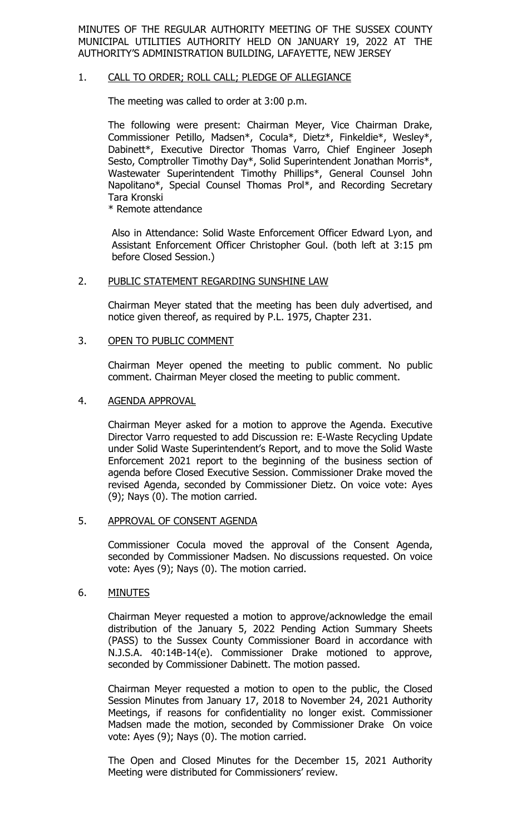MINUTES OF THE REGULAR AUTHORITY MEETING OF THE SUSSEX COUNTY MUNICIPAL UTILITIES AUTHORITY HELD ON JANUARY 19, 2022 AT THE AUTHORITY'S ADMINISTRATION BUILDING, LAFAYETTE, NEW JERSEY

### 1. CALL TO ORDER; ROLL CALL; PLEDGE OF ALLEGIANCE

The meeting was called to order at 3:00 p.m.

The following were present: Chairman Meyer, Vice Chairman Drake, Commissioner Petillo, Madsen\*, Cocula\*, Dietz\*, Finkeldie\*, Wesley\*, Dabinett\*, Executive Director Thomas Varro, Chief Engineer Joseph Sesto, Comptroller Timothy Day\*, Solid Superintendent Jonathan Morris\*, Wastewater Superintendent Timothy Phillips\*, General Counsel John Napolitano\*, Special Counsel Thomas Prol\*, and Recording Secretary Tara Kronski

\* Remote attendance

Also in Attendance: Solid Waste Enforcement Officer Edward Lyon, and Assistant Enforcement Officer Christopher Goul. (both left at 3:15 pm before Closed Session.)

### 2. PUBLIC STATEMENT REGARDING SUNSHINE LAW

Chairman Meyer stated that the meeting has been duly advertised, and notice given thereof, as required by P.L. 1975, Chapter 231.

### 3. OPEN TO PUBLIC COMMENT

Chairman Meyer opened the meeting to public comment. No public comment. Chairman Meyer closed the meeting to public comment.

#### 4. AGENDA APPROVAL

Chairman Meyer asked for a motion to approve the Agenda. Executive Director Varro requested to add Discussion re: E-Waste Recycling Update under Solid Waste Superintendent's Report, and to move the Solid Waste Enforcement 2021 report to the beginning of the business section of agenda before Closed Executive Session. Commissioner Drake moved the revised Agenda, seconded by Commissioner Dietz. On voice vote: Ayes (9); Nays (0). The motion carried.

## 5. APPROVAL OF CONSENT AGENDA

Commissioner Cocula moved the approval of the Consent Agenda, seconded by Commissioner Madsen. No discussions requested. On voice vote: Ayes (9); Nays (0). The motion carried.

## 6. MINUTES

Chairman Meyer requested a motion to approve/acknowledge the email distribution of the January 5, 2022 Pending Action Summary Sheets (PASS) to the Sussex County Commissioner Board in accordance with N.J.S.A. 40:14B-14(e). Commissioner Drake motioned to approve, seconded by Commissioner Dabinett. The motion passed.

Chairman Meyer requested a motion to open to the public, the Closed Session Minutes from January 17, 2018 to November 24, 2021 Authority Meetings, if reasons for confidentiality no longer exist. Commissioner Madsen made the motion, seconded by Commissioner Drake On voice vote: Ayes (9); Nays (0). The motion carried.

The Open and Closed Minutes for the December 15, 2021 Authority Meeting were distributed for Commissioners' review.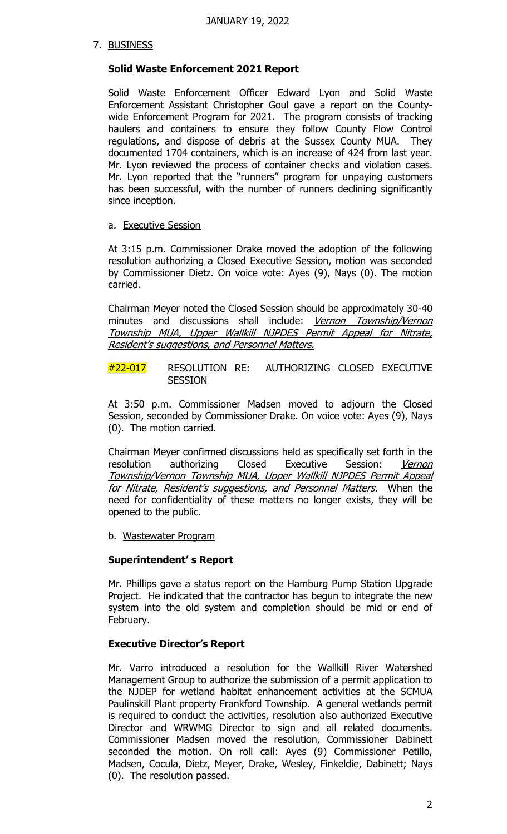# 7. BUSINESS

# **Solid Waste Enforcement 2021 Report**

Solid Waste Enforcement Officer Edward Lyon and Solid Waste Enforcement Assistant Christopher Goul gave a report on the Countywide Enforcement Program for 2021. The program consists of tracking haulers and containers to ensure they follow County Flow Control regulations, and dispose of debris at the Sussex County MUA. They documented 1704 containers, which is an increase of 424 from last year. Mr. Lyon reviewed the process of container checks and violation cases. Mr. Lyon reported that the "runners" program for unpaying customers has been successful, with the number of runners declining significantly since inception.

# a. Executive Session

At 3:15 p.m. Commissioner Drake moved the adoption of the following resolution authorizing a Closed Executive Session, motion was seconded by Commissioner Dietz. On voice vote: Ayes (9), Nays (0). The motion carried.

Chairman Meyer noted the Closed Session should be approximately 30-40 minutes and discussions shall include: Vernon Township/Vernon Township MUA, Upper Wallkill NJPDES Permit Appeal for Nitrate, Resident's suggestions, and Personnel Matters.

#22-017 RESOLUTION RE: AUTHORIZING CLOSED EXECUTIVE SESSION

At 3:50 p.m. Commissioner Madsen moved to adjourn the Closed Session, seconded by Commissioner Drake. On voice vote: Ayes (9), Nays (0). The motion carried.

Chairman Meyer confirmed discussions held as specifically set forth in the resolution authorizing Closed Executive Session: Vernon Township/Vernon Township MUA, Upper Wallkill NJPDES Permit Appeal for Nitrate, Resident's suggestions, and Personnel Matters. When the need for confidentiality of these matters no longer exists, they will be opened to the public.

b. Wastewater Program

# **Superintendent' s Report**

Mr. Phillips gave a status report on the Hamburg Pump Station Upgrade Project. He indicated that the contractor has begun to integrate the new system into the old system and completion should be mid or end of February.

# **Executive Director's Report**

Mr. Varro introduced a resolution for the Wallkill River Watershed Management Group to authorize the submission of a permit application to the NJDEP for wetland habitat enhancement activities at the SCMUA Paulinskill Plant property Frankford Township. A general wetlands permit is required to conduct the activities, resolution also authorized Executive Director and WRWMG Director to sign and all related documents. Commissioner Madsen moved the resolution, Commissioner Dabinett seconded the motion. On roll call: Ayes (9) Commissioner Petillo, Madsen, Cocula, Dietz, Meyer, Drake, Wesley, Finkeldie, Dabinett; Nays (0). The resolution passed.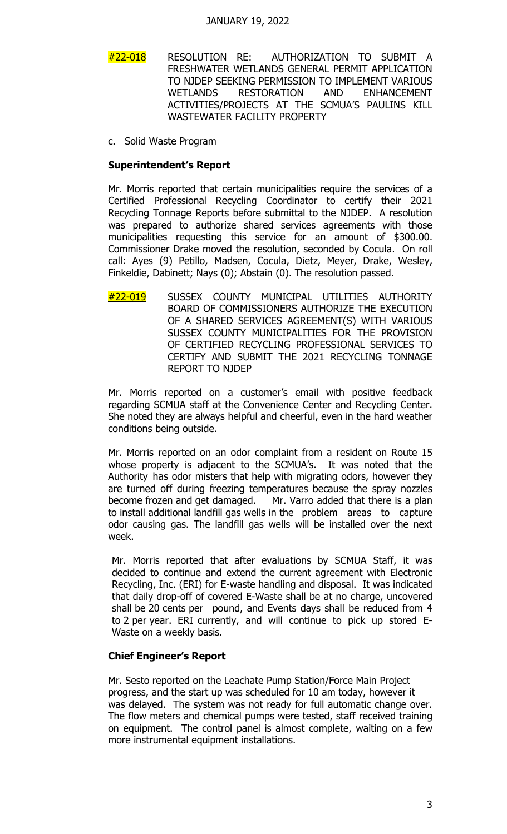- #22-018 RESOLUTION RE: AUTHORIZATION TO SUBMIT A FRESHWATER WETLANDS GENERAL PERMIT APPLICATION TO NJDEP SEEKING PERMISSION TO IMPLEMENT VARIOUS<br>WETLANDS RESTORATION AND ENHANCEMENT WETLANDS RESTORATION AND ENHANCEMENT ACTIVITIES/PROJECTS AT THE SCMUA'S PAULINS KILL WASTEWATER FACILITY PROPERTY
- c. Solid Waste Program

### **Superintendent's Report**

Mr. Morris reported that certain municipalities require the services of a Certified Professional Recycling Coordinator to certify their 2021 Recycling Tonnage Reports before submittal to the NJDEP. A resolution was prepared to authorize shared services agreements with those municipalities requesting this service for an amount of \$300.00. Commissioner Drake moved the resolution, seconded by Cocula. On roll call: Ayes (9) Petillo, Madsen, Cocula, Dietz, Meyer, Drake, Wesley, Finkeldie, Dabinett; Nays (0); Abstain (0). The resolution passed.

#22-019 SUSSEX COUNTY MUNICIPAL UTILITIES AUTHORITY BOARD OF COMMISSIONERS AUTHORIZE THE EXECUTION OF A SHARED SERVICES AGREEMENT(S) WITH VARIOUS SUSSEX COUNTY MUNICIPALITIES FOR THE PROVISION OF CERTIFIED RECYCLING PROFESSIONAL SERVICES TO CERTIFY AND SUBMIT THE 2021 RECYCLING TONNAGE REPORT TO NJDEP

Mr. Morris reported on a customer's email with positive feedback regarding SCMUA staff at the Convenience Center and Recycling Center. She noted they are always helpful and cheerful, even in the hard weather conditions being outside.

Mr. Morris reported on an odor complaint from a resident on Route 15 whose property is adjacent to the SCMUA's. It was noted that the Authority has odor misters that help with migrating odors, however they are turned off during freezing temperatures because the spray nozzles become frozen and get damaged. Mr. Varro added that there is a plan to install additional landfill gas wells in the problem areas to capture odor causing gas. The landfill gas wells will be installed over the next week.

Mr. Morris reported that after evaluations by SCMUA Staff, it was decided to continue and extend the current agreement with Electronic Recycling, Inc. (ERI) for E-waste handling and disposal. It was indicated that daily drop-off of covered E-Waste shall be at no charge, uncovered shall be 20 cents per pound, and Events days shall be reduced from 4 to 2 per year. ERI currently, and will continue to pick up stored E-Waste on a weekly basis.

## **Chief Engineer's Report**

Mr. Sesto reported on the Leachate Pump Station/Force Main Project progress, and the start up was scheduled for 10 am today, however it was delayed. The system was not ready for full automatic change over. The flow meters and chemical pumps were tested, staff received training on equipment. The control panel is almost complete, waiting on a few more instrumental equipment installations.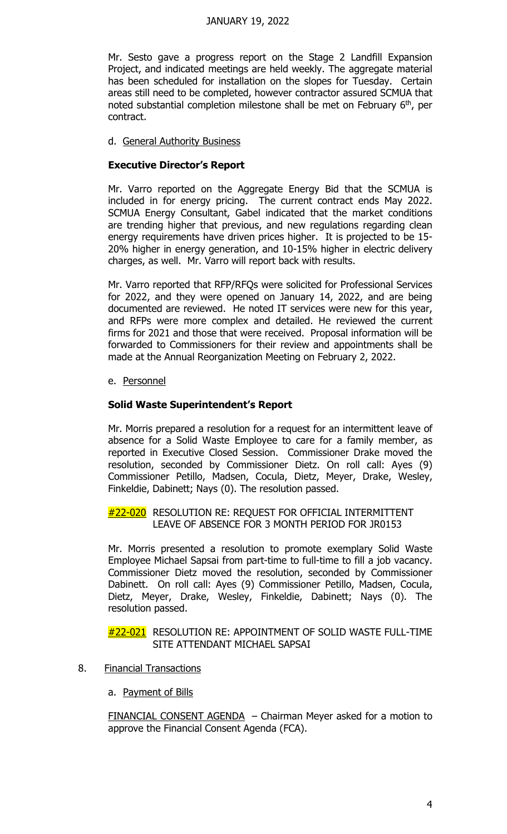### JANUARY 19, 2022

Mr. Sesto gave a progress report on the Stage 2 Landfill Expansion Project, and indicated meetings are held weekly. The aggregate material has been scheduled for installation on the slopes for Tuesday. Certain areas still need to be completed, however contractor assured SCMUA that noted substantial completion milestone shall be met on February 6th, per contract.

d. General Authority Business

## **Executive Director's Report**

Mr. Varro reported on the Aggregate Energy Bid that the SCMUA is included in for energy pricing. The current contract ends May 2022. SCMUA Energy Consultant, Gabel indicated that the market conditions are trending higher that previous, and new regulations regarding clean energy requirements have driven prices higher. It is projected to be 15- 20% higher in energy generation, and 10-15% higher in electric delivery charges, as well. Mr. Varro will report back with results.

Mr. Varro reported that RFP/RFQs were solicited for Professional Services for 2022, and they were opened on January 14, 2022, and are being documented are reviewed. He noted IT services were new for this year, and RFPs were more complex and detailed. He reviewed the current firms for 2021 and those that were received. Proposal information will be forwarded to Commissioners for their review and appointments shall be made at the Annual Reorganization Meeting on February 2, 2022.

e. Personnel

## **Solid Waste Superintendent's Report**

Mr. Morris prepared a resolution for a request for an intermittent leave of absence for a Solid Waste Employee to care for a family member, as reported in Executive Closed Session. Commissioner Drake moved the resolution, seconded by Commissioner Dietz. On roll call: Ayes (9) Commissioner Petillo, Madsen, Cocula, Dietz, Meyer, Drake, Wesley, Finkeldie, Dabinett; Nays (0). The resolution passed.

### #22-020 RESOLUTION RE: REQUEST FOR OFFICIAL INTERMITTENT LEAVE OF ABSENCE FOR 3 MONTH PERIOD FOR JR0153

Mr. Morris presented a resolution to promote exemplary Solid Waste Employee Michael Sapsai from part-time to full-time to fill a job vacancy. Commissioner Dietz moved the resolution, seconded by Commissioner Dabinett. On roll call: Ayes (9) Commissioner Petillo, Madsen, Cocula, Dietz, Meyer, Drake, Wesley, Finkeldie, Dabinett; Nays (0). The resolution passed.

### #22-021 RESOLUTION RE: APPOINTMENT OF SOLID WASTE FULL-TIME SITE ATTENDANT MICHAEL SAPSAI

- 8. Financial Transactions
	- a. Payment of Bills

FINANCIAL CONSENT AGENDA – Chairman Meyer asked for a motion to approve the Financial Consent Agenda (FCA).